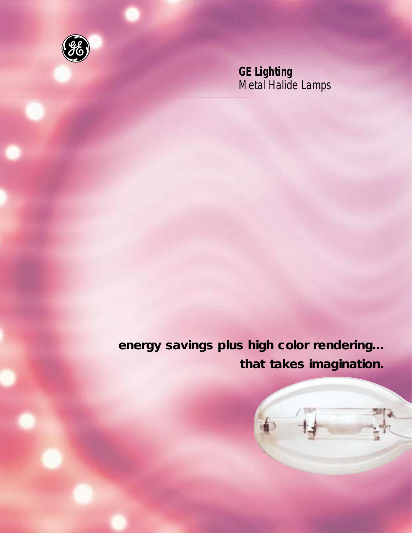

*GE Lighting Metal Halide Lamps*

**energy savings plus high color rendering... that takes imagination.**

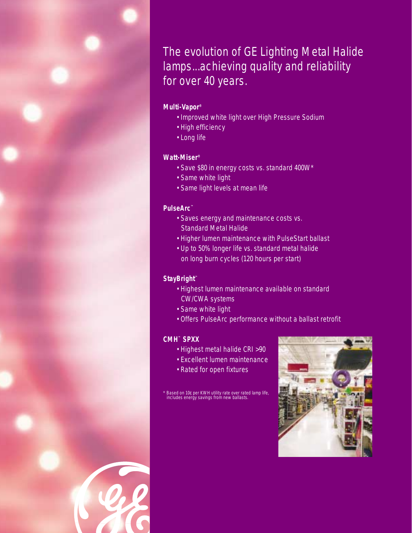The evolution of GE Lighting Metal Halide lamps...achieving quality and reliability for over 40 years.

## *Multi-Vapor®*

- *Improved white light over High Pressure Sodium*
- *High efficiency*
- *Long life*

## *Watt-Miser®*

- *Save \$80 in energy costs vs. standard 400W\**
- *Same white light*
- *Same light levels at mean life*

## *PulseArc™*

- *Saves energy and maintenance costs vs. Standard Metal Halide*
- *Higher lumen maintenance with PulseStart ballast*
- *Up to 50% longer life vs. standard metal halide on long burn cycles (120 hours per start)*

### *StayBright™*

- *Highest lumen maintenance available on standard CW/CWA systems*
- *Same white light*
- *Offers PulseArc performance without a ballast retrofit*

#### *CMH™ SPXX*

- *Highest metal halide CRI >90*
- *Excellent lumen maintenance*
- *Rated for open fixtures*

*\* Based on 10¢ per KWH utility rate over rated lamp life, includes energy savings from new ballasts.*

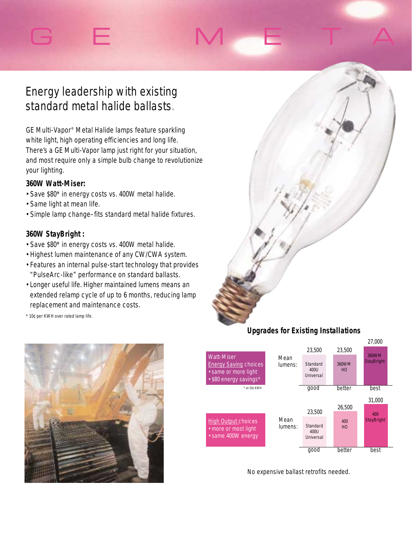# G E M E TA

## *Energy leadership with existing standard metal halide ballasts.*

*GE Multi-Vapor® Metal Halide lamps feature sparkling white light, high operating efficiencies and long life. There's a GE Multi-Vapor lamp just right for your situation, and most require only a simple bulb change to revolutionize your lighting.*

## *360W Watt-Miser:*

- *Save \$80\* in energy costs vs. 400W metal halide.*
- *Same light at mean life.*
- *Simple lamp change–fits standard metal halide fixtures.*

## *360W StayBright :*

- *Save \$80\* in energy costs vs. 400W metal halide.*
- *Highest lumen maintenance of any CW/CWA system.*
- *Features an internal pulse-start technology that provides "PulseArc-like" performance on standard ballasts.*
- *Longer useful life. Higher maintained lumens means an extended relamp cycle of up to 6 months, reducing lamp replacement and maintenance costs.*
- *\* 10¢ per KWH over rated lamp life.*



## *Upgrades for Existing Installations*



*No expensive ballast retrofits needed.*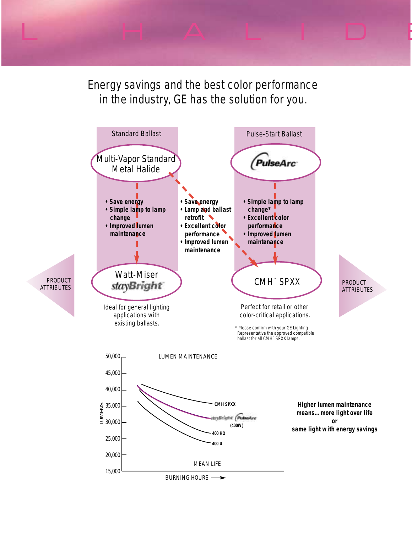*Energy savings and the best color performance in the industry, GE has the solution for you.*

L HALIDI

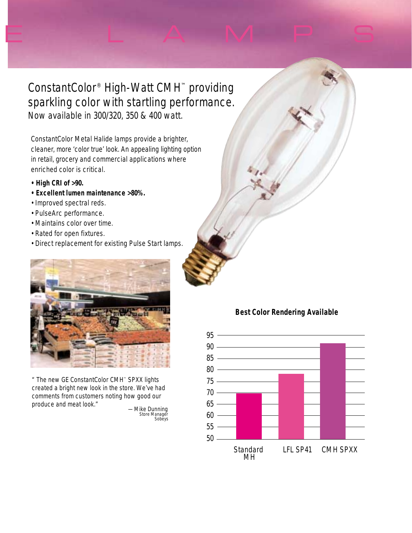*ConstantColor® High-Watt CMH™ providing sparkling color with startling performance. Now available in 300/320, 350 & 400 watt.*

E LAMPS

*ConstantColor Metal Halide lamps provide a brighter, cleaner, more 'color true' look. An appealing lighting option in retail, grocery and commercial applications where enriched color is critical.*

- *High CRI of >90.*
- *Excellent lumen maintenance >80%.*
- *Improved spectral reds.*
- *PulseArc performance.*
- *Maintains color over time.*
- *Rated for open fixtures.*
- *Direct replacement for existing Pulse Start lamps.*



*" The new GE ConstantColor CMH™ SPXX lights created a bright new look in the store. We've had comments from customers noting how good our produce and meat look." —Mike Dunning Store Manager Sobeys*

## **Best Color Rendering Available**